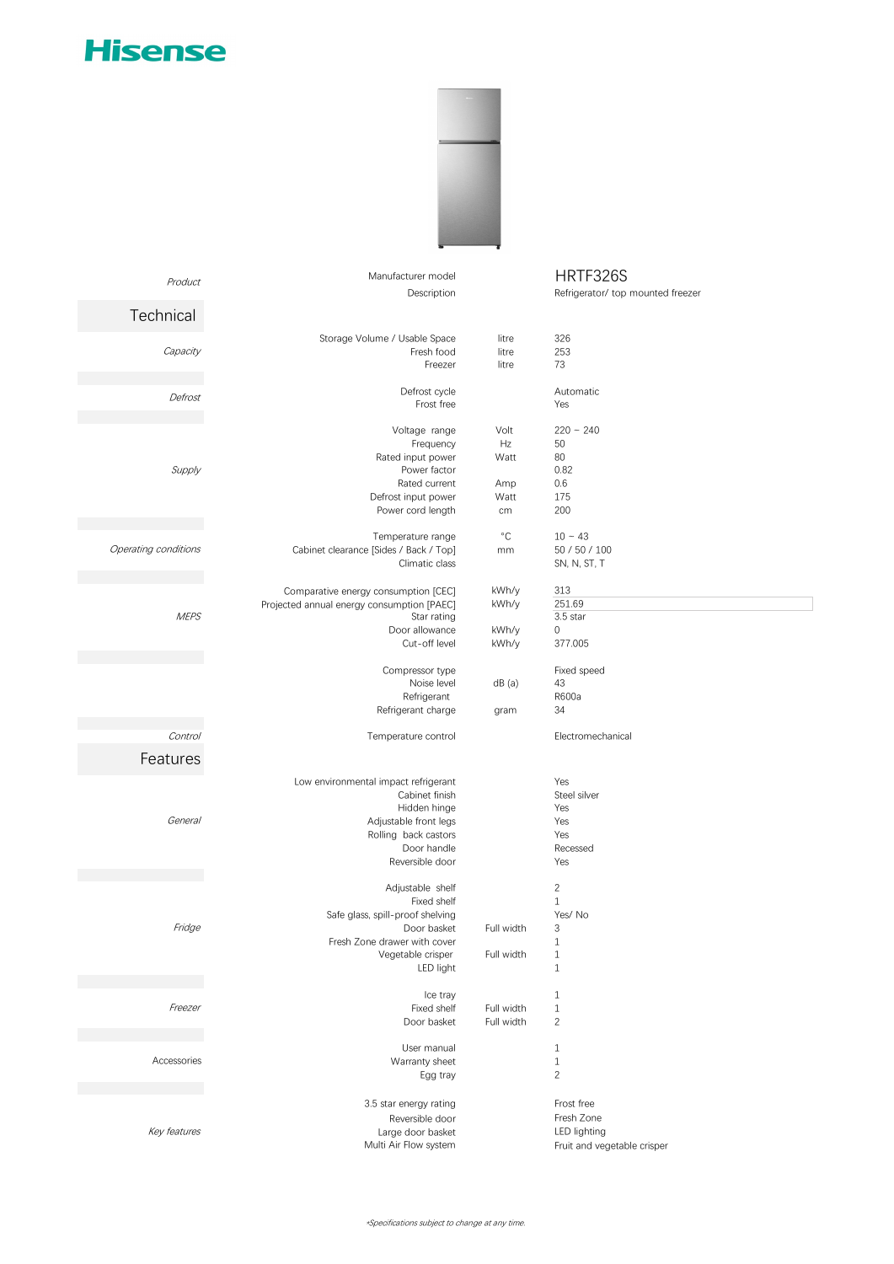## **Hisense**

Product



## Manufacturer model HRTF326S

Description Refrigerator/ top mounted freezer

|                      | <b>Description</b>                         |              | Reingeraton top modifica neezer |
|----------------------|--------------------------------------------|--------------|---------------------------------|
| Technical            |                                            |              |                                 |
|                      |                                            |              |                                 |
|                      | Storage Volume / Usable Space              | litre        | 326                             |
| Capacity             | Fresh food                                 | litre        | 253                             |
|                      | Freezer                                    | litre        | 73                              |
|                      | Defrost cycle                              |              | Automatic                       |
| Defrost              | Frost free                                 |              | Yes                             |
|                      |                                            |              |                                 |
|                      | Voltage range                              | Volt         | $220 - 240$                     |
|                      | Frequency                                  | Hz           | 50                              |
|                      | Rated input power                          | Watt         | 80                              |
| Supply               | Power factor                               |              | 0.82                            |
|                      | Rated current                              | Amp          | 0.6                             |
|                      | Defrost input power                        | Watt         | 175                             |
|                      | Power cord length                          | cm           | 200                             |
|                      | Temperature range                          | $^{\circ}$ C | $10 - 43$                       |
|                      |                                            |              |                                 |
| Operating conditions | Cabinet clearance [Sides / Back / Top]     | mm           | 50 / 50 / 100                   |
|                      | Climatic class                             |              | SN, N, ST, T                    |
|                      | Comparative energy consumption [CEC]       | kWh/y        | 313                             |
|                      | Projected annual energy consumption [PAEC] | kWh/y        | 251.69                          |
| <b>MEPS</b>          | Star rating                                |              | 3.5 star                        |
|                      | Door allowance                             | kWh/y        | 0                               |
|                      | Cut-off level                              | kWh/y        | 377.005                         |
|                      |                                            |              |                                 |
|                      | Compressor type                            |              | Fixed speed                     |
|                      | Noise level                                | dB(a)        | 43                              |
|                      | Refrigerant                                |              | R600a                           |
|                      | Refrigerant charge                         | gram         | 34                              |
| Control              |                                            |              |                                 |
|                      | Temperature control                        |              | Electromechanical               |
| Features             |                                            |              |                                 |
|                      | Low environmental impact refrigerant       |              | Yes                             |
|                      | Cabinet finish                             |              | Steel silver                    |
|                      |                                            |              |                                 |
|                      | Hidden hinge                               |              | Yes                             |
| General              | Adjustable front legs                      |              | Yes                             |
|                      | Rolling back castors                       |              | Yes                             |
|                      | Door handle                                |              | Recessed                        |
|                      | Reversible door                            |              | Yes                             |
|                      | Adjustable shelf                           |              | $\overline{c}$                  |
|                      | Fixed shelf                                |              | $\mathbf{1}$                    |
|                      | Safe glass, spill-proof shelving           |              | Yes/No                          |
| Fridge               | Door basket                                | Full width   | 3                               |
|                      |                                            |              |                                 |
|                      | Fresh Zone drawer with cover               |              | $1\,$                           |
|                      | Vegetable crisper                          | Full width   | $\,1\,$                         |
|                      | LED light                                  |              | $\mathbf{1}$                    |
|                      | Ice tray                                   |              | $\mathbf{1}$                    |
| Freezer              | Fixed shelf                                | Full width   | $1\,$                           |
|                      | Door basket                                | Full width   | $\overline{2}$                  |
|                      |                                            |              |                                 |
|                      | User manual                                |              | $\mathbf{1}$                    |
| Accessories          | Warranty sheet                             |              | $\mathbf{1}$                    |
|                      | Egg tray                                   |              | $\overline{2}$                  |
|                      | 3.5 star energy rating                     |              | Frost free                      |
|                      |                                            |              | Fresh Zone                      |
|                      | Reversible door                            |              |                                 |
| Key features         | Large door basket                          |              | LED lighting                    |
|                      | Multi Air Flow system                      |              | Fruit and vegetable crisper     |
|                      |                                            |              |                                 |